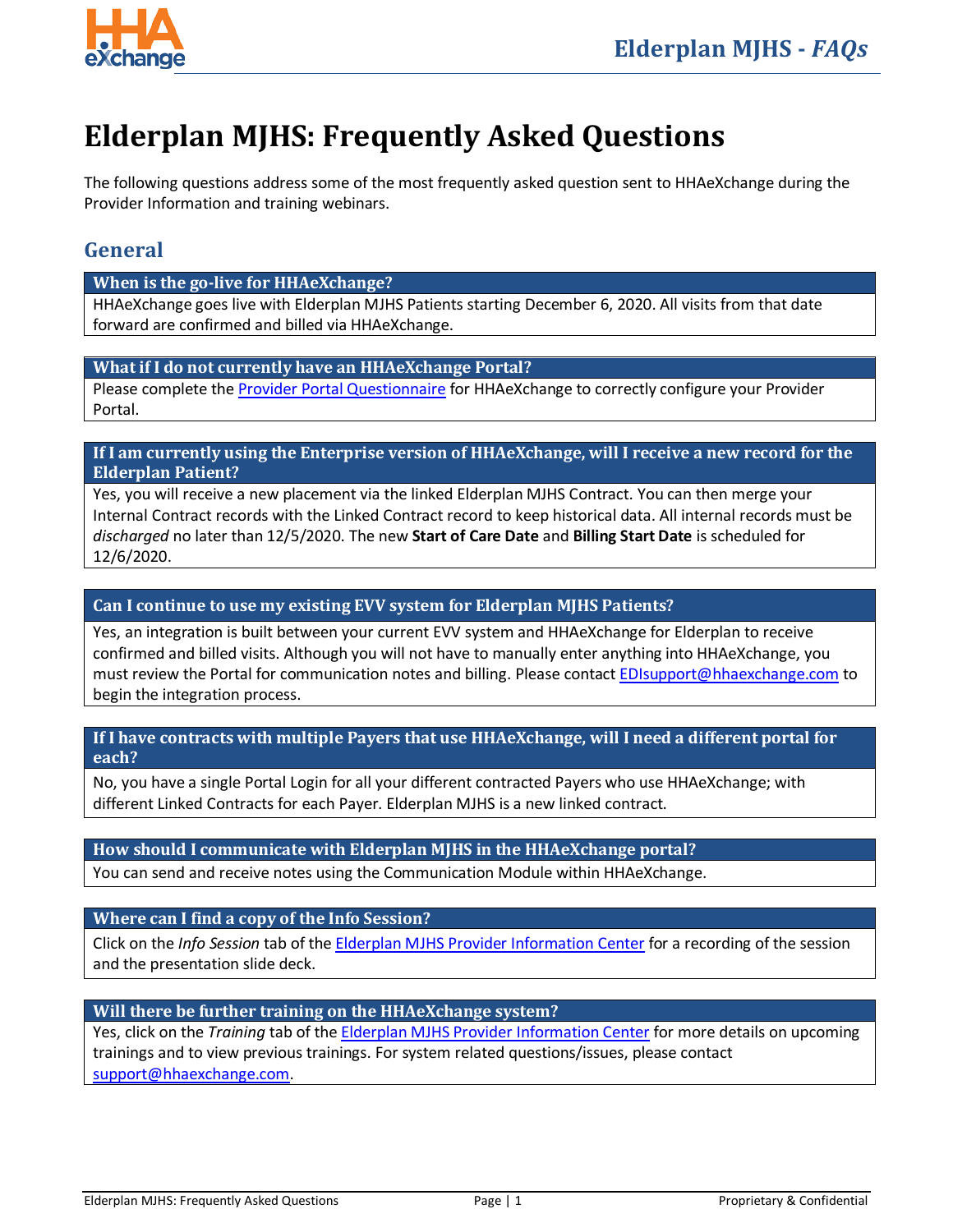

# **Elderplan MJHS: Frequently Asked Questions**

The following questions address some of the most frequently asked question sent to HHAeXchange during the Provider Information and training webinars.

# **General**

#### **When is the go-live for HHAeXchange?**

HHAeXchange goes live with Elderplan MJHS Patients starting December 6, 2020. All visits from that date forward are confirmed and billed via HHAeXchange.

## **What if I do not currently have an HHAeXchange Portal?**

Please complete the [Provider Portal Questionnaire](https://www.cognitoforms.com/HHAeXchange1/seniorwholehealthproviderportalquestionnaire) for HHAeXchange to correctly configure your Provider Portal.

## **If I am currently using the Enterprise version of HHAeXchange, will I receive a new record for the Elderplan Patient?**

Yes, you will receive a new placement via the linked Elderplan MJHS Contract. You can then merge your Internal Contract records with the Linked Contract record to keep historical data. All internal records must be *discharged* no later than 12/5/2020. The new **Start of Care Date** and **Billing Start Date** is scheduled for 12/6/2020.

# **Can I continue to use my existing EVV system for Elderplan MJHS Patients?**

Yes, an integration is built between your current EVV system and HHAeXchange for Elderplan to receive confirmed and billed visits. Although you will not have to manually enter anything into HHAeXchange, you must review the Portal for communication notes and billing. Please contact [EDIsupport@hhaexchange.com](mailto::EDIsupport@hhaexchange.com) to begin the integration process.

#### **If I have contracts with multiple Payers that use HHAeXchange, will I need a different portal for each?**

No, you have a single Portal Login for all your different contracted Payers who use HHAeXchange; with different Linked Contracts for each Payer. Elderplan MJHS is a new linked contract.

# **How should I communicate with Elderplan MJHS in the HHAeXchange portal?**

You can send and receive notes using the Communication Module within HHAeXchange.

# **Where can I find a copy of the Info Session?**

Click on the *Info Session* tab of the Elderplan MJHS [Provider Information Center](https://hhaexchange.com/elderplan/) for a recording of the session and the presentation slide deck.

#### **Will there be further training on the HHAeXchange system?**

Yes, click on the *Training* tab of the Elderplan MJHS [Provider Information Center](https://hhaexchange.com/elderplan/) for more details on upcoming trainings and to view previous trainings. For system related questions/issues, please contact [support@hhaexchange.com.](mailto:support@hhaexchange.com)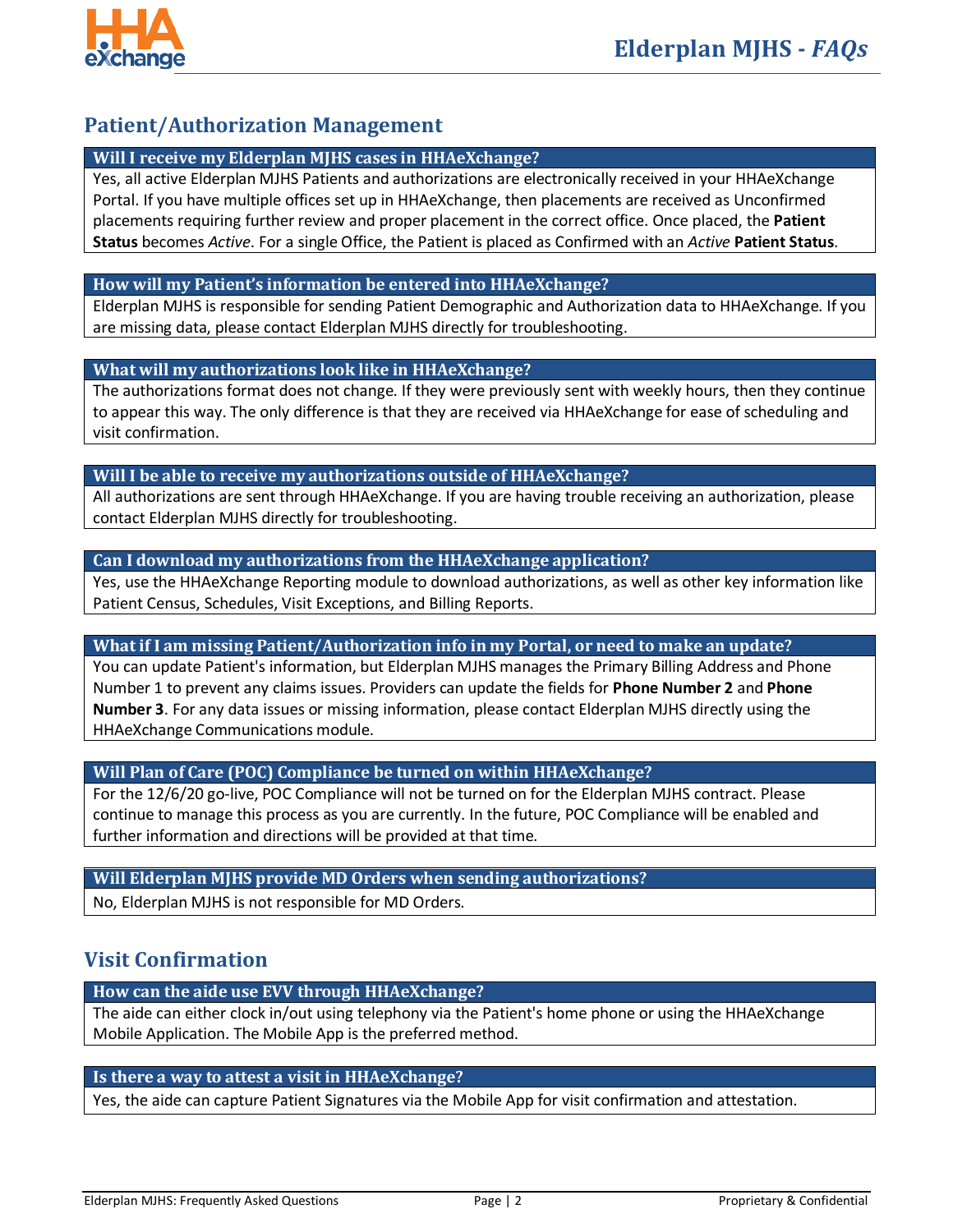

# **Patient/Authorization Management**

# **Will I receive my Elderplan MJHS cases in HHAeXchange?**

Yes, all active Elderplan MJHS Patients and authorizations are electronically received in your HHAeXchange Portal. If you have multiple offices set up in HHAeXchange, then placements are received as Unconfirmed placements requiring further review and proper placement in the correct office. Once placed, the **Patient Status** becomes *Active*. For a single Office, the Patient is placed as Confirmed with an *Active* **Patient Status**.

## **How will my Patient's information be entered into HHAeXchange?**

Elderplan MJHS is responsible for sending Patient Demographic and Authorization data to HHAeXchange. If you are missing data, please contact Elderplan MJHS directly for troubleshooting.

## **What will my authorizations look like in HHAeXchange?**

The authorizations format does not change. If they were previously sent with weekly hours, then they continue to appear this way. The only difference is that they are received via HHAeXchange for ease of scheduling and visit confirmation.

#### **Will I be able to receive my authorizations outside of HHAeXchange?**

All authorizations are sent through HHAeXchange. If you are having trouble receiving an authorization, please contact Elderplan MJHS directly for troubleshooting.

## **Can I download my authorizations from the HHAeXchange application?**

Yes, use the HHAeXchange Reporting module to download authorizations, as well as other key information like Patient Census, Schedules, Visit Exceptions, and Billing Reports.

## **What if I am missing Patient/Authorization info in my Portal, or need to make an update?**

You can update Patient's information, but Elderplan MJHS manages the Primary Billing Address and Phone Number 1 to prevent any claims issues. Providers can update the fields for **Phone Number 2** and **Phone Number 3**. For any data issues or missing information, please contact Elderplan MJHS directly using the HHAeXchange Communications module.

#### **Will Plan of Care (POC) Compliance be turned on within HHAeXchange?**

For the 12/6/20 go-live, POC Compliance will not be turned on for the Elderplan MJHS contract. Please continue to manage this process as you are currently. In the future, POC Compliance will be enabled and further information and directions will be provided at that time.

#### **Will Elderplan MJHS provide MD Orders when sending authorizations?**

No, Elderplan MJHS is not responsible for MD Orders.

# **Visit Confirmation**

#### **How can the aide use EVV through HHAeXchange?**

The aide can either clock in/out using telephony via the Patient's home phone or using the HHAeXchange Mobile Application. The Mobile App is the preferred method.

# **Is there a way to attest a visit in HHAeXchange?**

Yes, the aide can capture Patient Signatures via the Mobile App for visit confirmation and attestation.